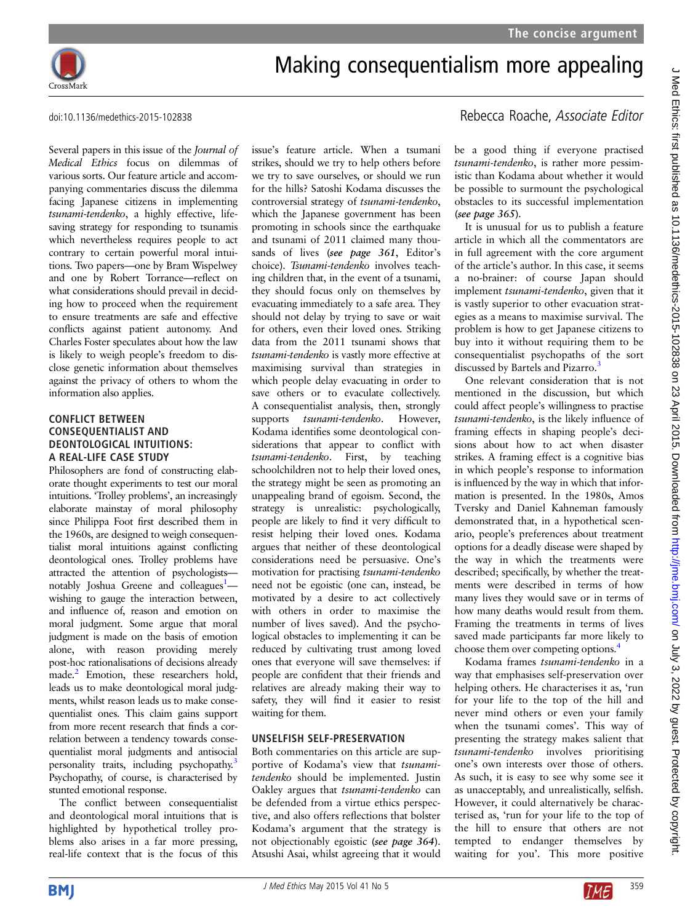

Several papers in this issue of the Journal of Medical Ethics focus on dilemmas of various sorts. Our feature article and accompanying commentaries discuss the dilemma facing Japanese citizens in implementing tsunami-tendenko, a highly effective, lifesaving strategy for responding to tsunamis which nevertheless requires people to act contrary to certain powerful moral intuitions. Two papers—one by Bram Wispelwey and one by Robert Torrance—reflect on what considerations should prevail in deciding how to proceed when the requirement to ensure treatments are safe and effective conflicts against patient autonomy. And Charles Foster speculates about how the law is likely to weigh people's freedom to disclose genetic information about themselves against the privacy of others to whom the information also applies.

### **CONFLICT BETWEEN CONSEQUENTIALIST AND** DEONTOLOGICAL INTUITIONS: A REAL-LIFE CASE STUDY

Philosophers are fond of constructing elaborate thought experiments to test our moral intuitions. 'Trolley problems', an increasingly elaborate mainstay of moral philosophy since Philippa Foot first described them in the 1960s, are designed to weigh consequentialist moral intuitions against conflicting deontological ones. Trolley problems have attracted the attention of psychologistsnotably Joshua Greene and colleagues<sup>1</sup>wishing to gauge the interaction between, and influence of, reason and emotion on moral judgment. Some argue that moral judgment is made on the basis of emotion alone, with reason providing merely post-hoc rationalisations of decisions already made.<sup>2</sup> Emotion, these researchers hold, leads us to make deontological moral judgments, whilst reason leads us to make consequentialist ones. This claim gains support from more recent research that finds a correlation between a tendency towards consequentialist moral judgments and antisocial personality traits, including psychopathy.<sup>[3](#page-1-0)</sup> Psychopathy, of course, is characterised by stunted emotional response.

The conflict between consequentialist and deontological moral intuitions that is highlighted by hypothetical trolley problems also arises in a far more pressing, real-life context that is the focus of this issue's feature article. When a tsumani strikes, should we try to help others before we try to save ourselves, or should we run for the hills? Satoshi Kodama discusses the controversial strategy of tsunami-tendenko, which the Japanese government has been promoting in schools since the earthquake and tsunami of 2011 claimed many thousands of lives (see page 361, Editor's choice). Tsunami-tendenko involves teaching children that, in the event of a tsunami, they should focus only on themselves by evacuating immediately to a safe area. They should not delay by trying to save or wait for others, even their loved ones. Striking data from the 2011 tsunami shows that tsunami-tendenko is vastly more effective at maximising survival than strategies in which people delay evacuating in order to save others or to evaculate collectively. A consequentialist analysis, then, strongly supports *tsunami-tendenko*. However, Kodama identifies some deontological considerations that appear to conflict with tsunami-tendenko. First, by teaching schoolchildren not to help their loved ones, the strategy might be seen as promoting an unappealing brand of egoism. Second, the strategy is unrealistic: psychologically, people are likely to find it very difficult to resist helping their loved ones. Kodama argues that neither of these deontological considerations need be persuasive. One's motivation for practising tsunami-tendenko need not be egoistic (one can, instead, be motivated by a desire to act collectively with others in order to maximise the number of lives saved). And the psychological obstacles to implementing it can be reduced by cultivating trust among loved ones that everyone will save themselves: if people are confident that their friends and relatives are already making their way to safety, they will find it easier to resist waiting for them.

# **UNSELFISH SELF-PRESERVATION**

Both commentaries on this article are supportive of Kodama's view that tsunamitendenko should be implemented. Justin Oakley argues that tsunami-tendenko can be defended from a virtue ethics perspective, and also offers reflections that bolster Kodama's argument that the strategy is not objectionably egoistic (see page 364). Atsushi Asai, whilst agreeing that it would

# doi:10.1136/medethics-2015-102838 Rebecca Roache, Associate Editor

be a good thing if everyone practised tsunami-tendenko, is rather more pessimistic than Kodama about whether it would be possible to surmount the psychological obstacles to its successful implementation (see page 365).

It is unusual for us to publish a feature article in which all the commentators are in full agreement with the core argument of the article's author. In this case, it seems a no-brainer: of course Japan should implement tsunami-tendenko, given that it is vastly superior to other evacuation strategies as a means to maximise survival. The problem is how to get Japanese citizens to buy into it without requiring them to be consequentialist psychopaths of the sort discussed by Bartels and Pizarro.<sup>3</sup>

One relevant consideration that is not mentioned in the discussion, but which could affect people's willingness to practise tsunami-tendenko, is the likely influence of framing effects in shaping people's decisions about how to act when disaster strikes. A framing effect is a cognitive bias in which people's response to information is influenced by the way in which that information is presented. In the 1980s, Amos Tversky and Daniel Kahneman famously demonstrated that, in a hypothetical scenario, people's preferences about treatment options for a deadly disease were shaped by the way in which the treatments were described; specifically, by whether the treatments were described in terms of how many lives they would save or in terms of how many deaths would result from them. Framing the treatments in terms of lives saved made participants far more likely to choose them over competing options[.4](#page-1-0)

Kodama frames tsunami-tendenko in a way that emphasises self-preservation over helping others. He characterises it as, 'run for your life to the top of the hill and never mind others or even your family when the tsunami comes'. This way of presenting the strategy makes salient that tsunami-tendenko involves prioritising one's own interests over those of others. As such, it is easy to see why some see it as unacceptably, and unrealistically, selfish. However, it could alternatively be characterised as, 'run for your life to the top of the hill to ensure that others are not tempted to endanger themselves by waiting for you'. This more positive